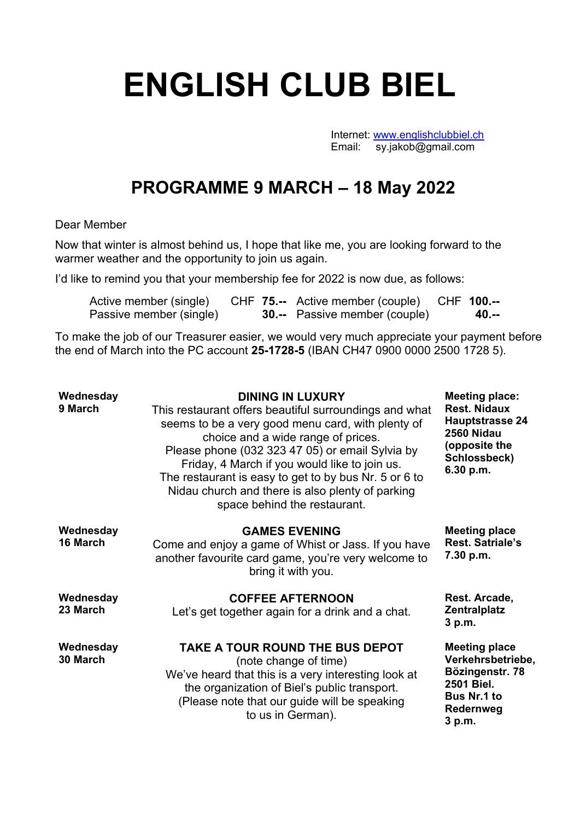## **ENGLISH CLUB BIEL**

Internet: www.englishclubbiel.ch Email: sy.jakob@gmail.com

## **PROGRAMME 9 MARCH – 18 May 2022**

## Dear Member

Now that winter is almost behind us, I hope that like me, you are looking forward to the warmer weather and the opportunity to join us again.

I'd like to remind you that your membership fee for 2022 is now due, as follows:

| Active member (single)  |  | CHF 75.-- Active member (couple) CHF 100.-- |  |       |
|-------------------------|--|---------------------------------------------|--|-------|
| Passive member (single) |  | <b>30.--</b> Passive member (couple)        |  | 40.-- |

To make the job of our Treasurer easier, we would very much appreciate your payment before the end of March into the PC account **25-1728-5** (IBAN CH47 0900 0000 2500 1728 5).

| Wednesday<br>9 March  | <b>DINING IN LUXURY</b><br>This restaurant offers beautiful surroundings and what<br>seems to be a very good menu card, with plenty of<br>choice and a wide range of prices.<br>Please phone (032 323 47 05) or email Sylvia by<br>Friday, 4 March if you would like to join us.<br>The restaurant is easy to get to by bus Nr. 5 or 6 to<br>Nidau church and there is also plenty of parking<br>space behind the restaurant. | <b>Meeting place:</b><br><b>Rest. Nidaux</b><br><b>Hauptstrasse 24</b><br>2560 Nidau<br>(opposite the<br>Schlossbeck)<br>6.30 p.m. |
|-----------------------|-------------------------------------------------------------------------------------------------------------------------------------------------------------------------------------------------------------------------------------------------------------------------------------------------------------------------------------------------------------------------------------------------------------------------------|------------------------------------------------------------------------------------------------------------------------------------|
| Wednesday<br>16 March | <b>GAMES EVENING</b><br>Come and enjoy a game of Whist or Jass. If you have<br>another favourite card game, you're very welcome to<br>bring it with you.                                                                                                                                                                                                                                                                      | <b>Meeting place</b><br><b>Rest. Satriale's</b><br>7.30 p.m.                                                                       |
| Wednesday<br>23 March | <b>COFFEE AFTERNOON</b><br>Let's get together again for a drink and a chat.                                                                                                                                                                                                                                                                                                                                                   | Rest. Arcade,<br><b>Zentralplatz</b><br>3 p.m.                                                                                     |
| Wednesday<br>30 March | TAKE A TOUR ROUND THE BUS DEPOT<br>(note change of time)<br>We've heard that this is a very interesting look at<br>the organization of Biel's public transport.<br>(Please note that our guide will be speaking<br>to us in German).                                                                                                                                                                                          | <b>Meeting place</b><br>Verkehrsbetriebe,<br>Bözingenstr. 78<br>2501 Biel.<br><b>Bus Nr.1 to</b><br><b>Redernweg</b><br>3 p.m.     |